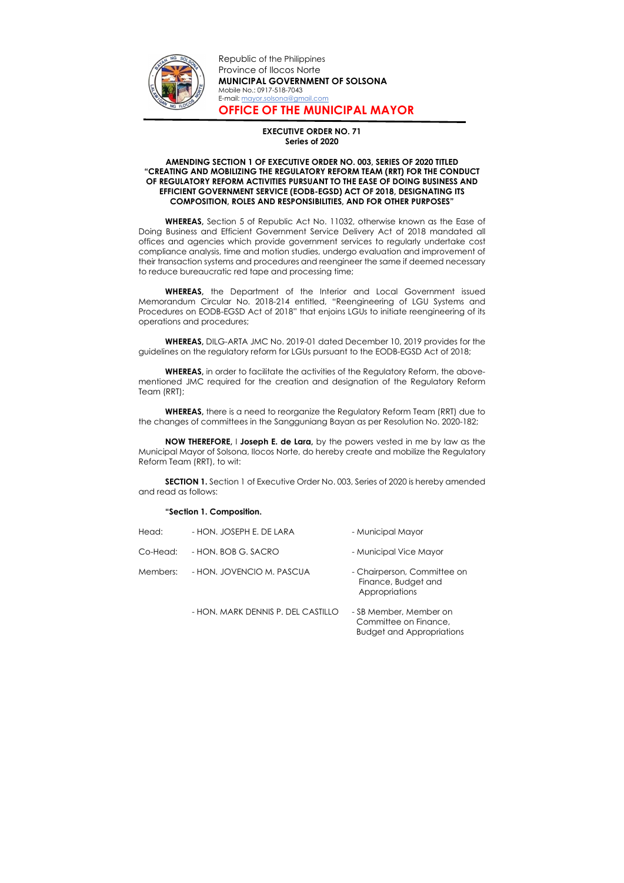

Republic of the Philippines Province of Ilocos Norte MUNICIPAL GOVERNMENT OF SOLSONA Mobile No.: 0917-518-7043 E-mail: mayor.solsona@gmail.com OFFICE OF THE MUNICIPAL MAYOR

## EXECUTIVE ORDER NO. 71 Series of 2020

## AMENDING SECTION 1 OF EXECUTIVE ORDER NO. 003, SERIES OF 2020 TITLED "CREATING AND MOBILIZING THE REGULATORY REFORM TEAM (RRT) FOR THE CONDUCT OF REGULATORY REFORM ACTIVITIES PURSUANT TO THE EASE OF DOING BUSINESS AND EFFICIENT GOVERNMENT SERVICE (EODB-EGSD) ACT OF 2018, DESIGNATING ITS COMPOSITION, ROLES AND RESPONSIBILITIES, AND FOR OTHER PURPOSES"

WHEREAS, Section 5 of Republic Act No. 11032, otherwise known as the Ease of Doing Business and Efficient Government Service Delivery Act of 2018 mandated all offices and agencies which provide government services to regularly undertake cost compliance analysis, time and motion studies, undergo evaluation and improvement of their transaction systems and procedures and reengineer the same if deemed necessary to reduce bureaucratic red tape and processing time;

WHEREAS, the Department of the Interior and Local Government issued Memorandum Circular No. 2018-214 entitled, "Reengineering of LGU Systems and Procedures on EODB-EGSD Act of 2018" that enjoins LGUs to initiate reengineering of its operations and procedures;

WHEREAS, DILG-ARTA JMC No. 2019-01 dated December 10, 2019 provides for the guidelines on the regulatory reform for LGUs pursuant to the EODB-EGSD Act of 2018;

WHEREAS, in order to facilitate the activities of the Regulatory Reform, the abovementioned JMC required for the creation and designation of the Regulatory Reform Team (RRT);

WHEREAS, there is a need to reorganize the Regulatory Reform Team (RRT) due to the changes of committees in the Sangguniang Bayan as per Resolution No. 2020-182;

NOW THEREFORE, I Joseph E. de Lara, by the powers vested in me by law as the Municipal Mayor of Solsona, Ilocos Norte, do hereby create and mobilize the Regulatory Reform Team (RRT), to wit:

SECTION 1. Section 1 of Executive Order No. 003, Series of 2020 is hereby amended and read as follows:

## "Section 1. Composition.

| Head:    | - HON. JOSEPH E. DE LARA           | - Municipal Mayor                                                                   |
|----------|------------------------------------|-------------------------------------------------------------------------------------|
| Co-Head: | - HON. BOB G. SACRO                | - Municipal Vice Mayor                                                              |
| Members: | - HON. JOVENCIO M. PASCUA          | - Chairperson, Committee on<br>Finance, Budget and<br>Appropriations                |
|          | - HON, MARK DENNIS P. DEL CASTILLO | - SB Member, Member on<br>Committee on Finance,<br><b>Budget and Appropriations</b> |